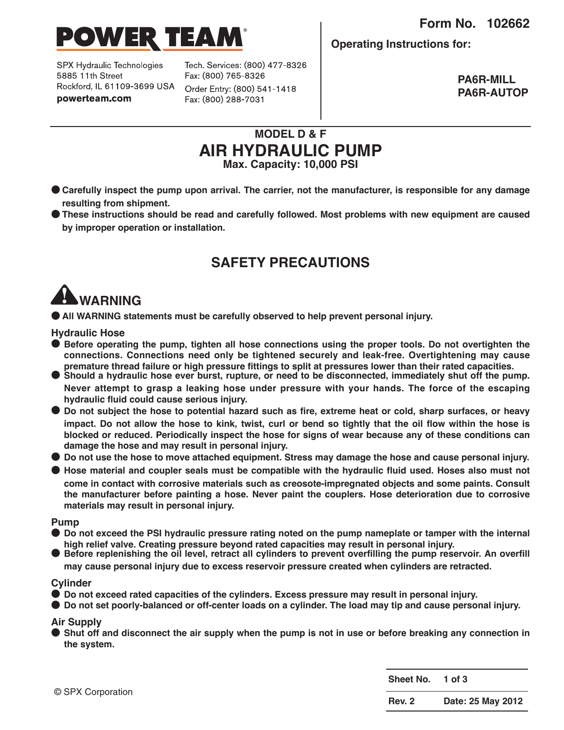**Form No. 102662**



SPX Hydraulic Technologies 5885 11th Street Rockford, IL 61109-3699 USA powerteam.com

Tech. Services: (800) 477-8326 Fax: (800) 765-8326 Order Entry: (800) 541-1418

Fax: (800) 288-7031

**Operating Instructions for:**

**PA6R-MILL PA6R-AUTOP**

#### **MODEL D & F AIR HYDRAULIC PUMP Max. Capacity: 10,000 PSI**

- Carefully inspect the pump upon arrival. The carrier, not the manufacturer, is responsible for any damage **resulting from shipment.**
- **● These instructions should be read and carefully followed. Most problems with new equipment are caused by improper operation or installation.**

## **SAFETY PRECAUTIONS**

# **WARNINg**

**● All WARNINg statements must be carefully observed to help prevent personal injury.**

**Hydraulic Hose**

- **● Before operating the pump, tighten all hose connections using the proper tools. Do not overtighten the connections. Connections need only be tightened securely and leak-free. Overtightening may cause** premature thread failure or high pressure fittings to split at pressures lower than their rated capacities.<br>Should a hydraulic hose ever burst, rupture, or need to be disconnected, immediately shut off the pump.
- **Never attempt to grasp a leaking hose under pressure with your hands. The force of the escaping hydraulic fluid could cause serious injury.**
- Do not subject the hose to potential hazard such as fire, extreme heat or cold, sharp surfaces, or heavy impact. Do not allow the hose to kink, twist, curl or bend so tightly that the oil flow within the hose is **blocked or reduced. Periodically inspect the hose for signs of wear because any of these conditions can damage the hose and may result in personal injury.**
- Do not use the hose to move attached equipment. Stress may damage the hose and cause personal injury.
- Hose material and coupler seals must be compatible with the hydraulic fluid used. Hoses also must not **come in contact with corrosive materials such as creosote-impregnated objects and some paints. Consult the manufacturer before painting a hose. Never paint the couplers. Hose deterioration due to corrosive materials may result in personal injury.**

#### **Pump**

- Do not exceed the PSI hydraulic pressure rating noted on the pump nameplate or tamper with the internal high relief valve. Creating pressure bevond rated capacities may result in personal injury.
- Before replenishing the oil level, retract all cylinders to prevent overfilling the pump reservoir. An overfill **may cause personal injury due to excess reservoir pressure created when cylinders are retracted.**

#### **Cylinder**

- **● Do not exceed rated capacities of the cylinders. Excess pressure may result in personal injury.**
- Do not set poorly-balanced or off-center loads on a cylinder. The load may tip and cause personal injury.

#### **Air Supply**

Shut off and disconnect the air supply when the pump is not in use or before breaking any connection in **the system.**

| © SPX Corporation | Sheet No. 1 of 3 |                   |
|-------------------|------------------|-------------------|
|                   | <b>Rev. 2</b>    | Date: 25 May 2012 |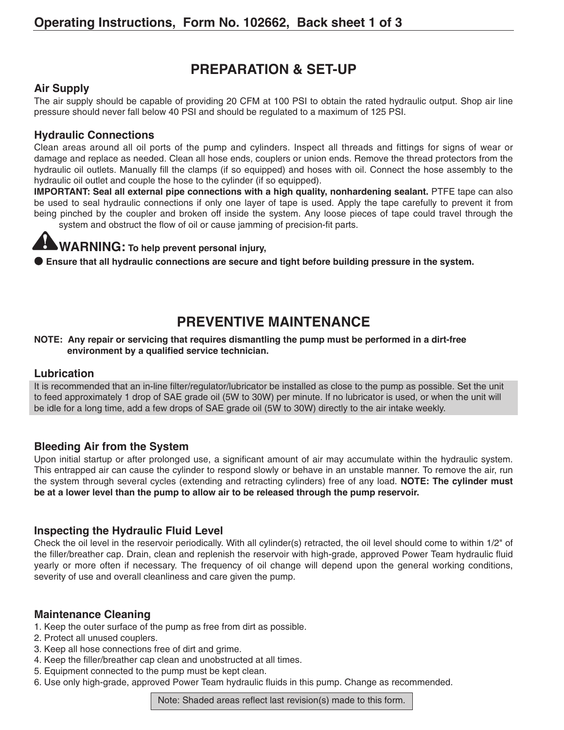## **PREPARATION & SET-UP**

#### **Air Supply**

The air supply should be capable of providing 20 CFM at 100 PSI to obtain the rated hydraulic output. Shop air line pressure should never fall below 40 PSI and should be regulated to a maximum of 125 PSI.

#### **Hydraulic Connections**

Clean areas around all oil ports of the pump and cylinders. Inspect all threads and fittings for signs of wear or damage and replace as needed. Clean all hose ends, couplers or union ends. Remove the thread protectors from the hydraulic oil outlets. Manually fill the clamps (if so equipped) and hoses with oil. Connect the hose assembly to the hydraulic oil outlet and couple the hose to the cylinder (if so equipped).

**IMPORTANT: Seal all external pipe connections with a high quality, nonhardening sealant.** PTFE tape can also be used to seal hydraulic connections if only one layer of tape is used. Apply the tape carefully to prevent it from being pinched by the coupler and broken off inside the system. Any loose pieces of tape could travel through the system and obstruct the flow of oil or cause jamming of precision-fit parts.

## **WARNINg: To help prevent personal injury,**

**● Ensure that all hydraulic connections are secure and tight before building pressure in the system.**

## **PREVENTIVE MAINTENANCE**

#### **NOTE: Any repair or servicing that requires dismantling the pump must be performed in a dirt-free environment by a qualified service technician.**

#### **Lubrication**

It is recommended that an in-line filter/regulator/lubricator be installed as close to the pump as possible. Set the unit to feed approximately 1 drop of SAE grade oil (5W to 30W) per minute. If no lubricator is used, or when the unit will be idle for a long time, add a few drops of SAE grade oil (5W to 30W) directly to the air intake weekly.

#### **Bleeding Air from the System**

Upon initial startup or after prolonged use, a significant amount of air may accumulate within the hydraulic system. This entrapped air can cause the cylinder to respond slowly or behave in an unstable manner. To remove the air, run the system through several cycles (extending and retracting cylinders) free of any load. **NOTE: The cylinder must be at a lower level than the pump to allow air to be released through the pump reservoir.**

#### **Inspecting the Hydraulic Fluid Level**

Check the oil level in the reservoir periodically. With all cylinder(s) retracted, the oil level should come to within 1/2" of the filler/breather cap. Drain, clean and replenish the reservoir with high-grade, approved Power Team hydraulic fluid yearly or more often if necessary. The frequency of oil change will depend upon the general working conditions, severity of use and overall cleanliness and care given the pump.

#### **Maintenance Cleaning**

- 1. Keep the outer surface of the pump as free from dirt as possible.
- 2. Protect all unused couplers.
- 3. Keep all hose connections free of dirt and grime.
- 4. Keep the filler/breather cap clean and unobstructed at all times.
- 5. Equipment connected to the pump must be kept clean.
- 6. Use only high-grade, approved Power Team hydraulic fluids in this pump. Change as recommended.

Note: Shaded areas reflect last revision(s) made to this form.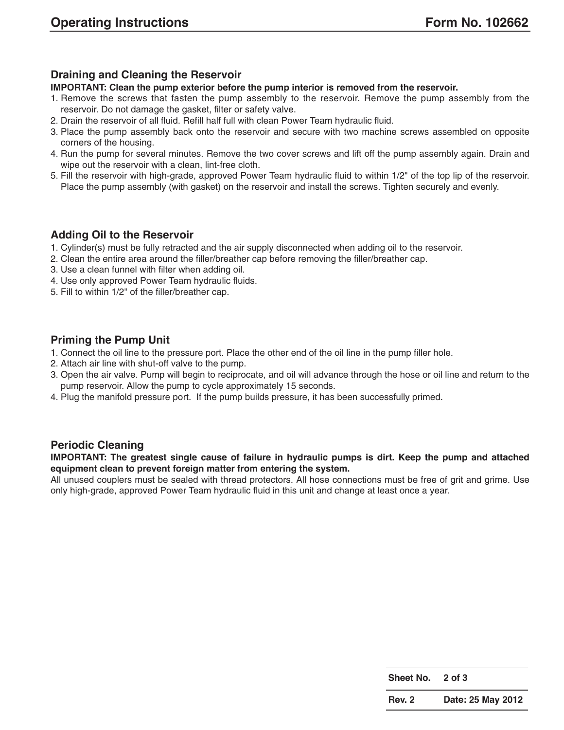#### **Draining and Cleaning the Reservoir**

#### **IMPORTANT: Clean the pump exterior before the pump interior is removed from the reservoir.**

- 1. Remove the screws that fasten the pump assembly to the reservoir. Remove the pump assembly from the reservoir. Do not damage the gasket, filter or safety valve.
- 2. Drain the reservoir of all fluid. Refill half full with clean Power Team hydraulic fluid.
- 3. Place the pump assembly back onto the reservoir and secure with two machine screws assembled on opposite corners of the housing.
- 4. Run the pump for several minutes. Remove the two cover screws and lift off the pump assembly again. Drain and wipe out the reservoir with a clean, lint-free cloth.
- 5. Fill the reservoir with high-grade, approved Power Team hydraulic fluid to within 1/2" of the top lip of the reservoir. Place the pump assembly (with gasket) on the reservoir and install the screws. Tighten securely and evenly.

#### **Adding Oil to the Reservoir**

- 1. Cylinder(s) must be fully retracted and the air supply disconnected when adding oil to the reservoir.
- 2. Clean the entire area around the filler/breather cap before removing the filler/breather cap.
- 3. Use a clean funnel with filter when adding oil.
- 4. Use only approved Power Team hydraulic fluids.
- 5. Fill to within 1/2" of the filler/breather cap.

#### **Priming the Pump Unit**

- 1. Connect the oil line to the pressure port. Place the other end of the oil line in the pump filler hole.
- 2. Attach air line with shut-off valve to the pump.
- 3. Open the air valve. Pump will begin to reciprocate, and oil will advance through the hose or oil line and return to the pump reservoir. Allow the pump to cycle approximately 15 seconds.
- 4. Plug the manifold pressure port. If the pump builds pressure, it has been successfully primed.

#### **Periodic Cleaning**

**IMPORTANT: The greatest single cause of failure in hydraulic pumps is dirt. Keep the pump and attached equipment clean to prevent foreign matter from entering the system.**

All unused couplers must be sealed with thread protectors. All hose connections must be free of grit and grime. Use only high-grade, approved Power Team hydraulic fluid in this unit and change at least once a year.

| <b>Sheet No.</b> | 2 of 3            |
|------------------|-------------------|
| <b>Rev. 2</b>    | Date: 25 May 2012 |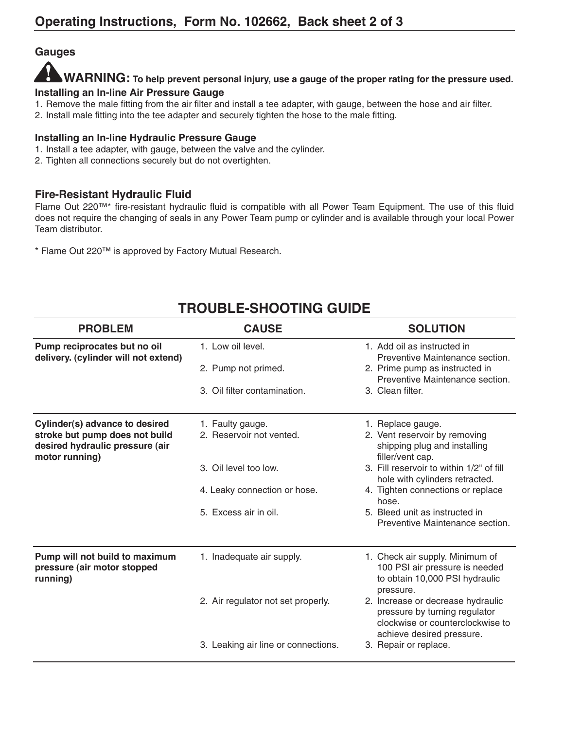#### **gauges**

#### **WARNINg: To help prevent personal injury, use a gauge of the proper rating for the pressure used. Installing an In-line Air Pressure gauge**

- 1. Remove the male fitting from the air filter and install a tee adapter, with gauge, between the hose and air filter.
- 2. Install male fitting into the tee adapter and securely tighten the hose to the male fitting.

#### **Installing an In-line Hydraulic Pressure gauge**

- 1. Install a tee adapter, with gauge, between the valve and the cylinder.
- 2. Tighten all connections securely but do not overtighten.

#### **Fire-Resistant Hydraulic Fluid**

Flame Out 220™\* fire-resistant hydraulic fluid is compatible with all Power Team Equipment. The use of this fluid does not require the changing of seals in any Power Team pump or cylinder and is available through your local Power Team distributor.

\* Flame Out 220™ is approved by Factory Mutual Research.

| <b>PROBLEM</b>                                                                                                        | <b>CAUSE</b>                                                                                                                   | <b>SOLUTION</b>                                                                                                                                                                                                                                                                                         |
|-----------------------------------------------------------------------------------------------------------------------|--------------------------------------------------------------------------------------------------------------------------------|---------------------------------------------------------------------------------------------------------------------------------------------------------------------------------------------------------------------------------------------------------------------------------------------------------|
| Pump reciprocates but no oil<br>delivery. (cylinder will not extend)                                                  | 1. Low oil level.<br>2. Pump not primed.<br>3. Oil filter contamination.                                                       | 1. Add oil as instructed in<br>Preventive Maintenance section.<br>2. Prime pump as instructed in<br>Preventive Maintenance section.<br>3. Clean filter.                                                                                                                                                 |
| Cylinder(s) advance to desired<br>stroke but pump does not build<br>desired hydraulic pressure (air<br>motor running) | 1. Faulty gauge.<br>2. Reservoir not vented.<br>3. Oil level too low.<br>4. Leaky connection or hose.<br>5. Excess air in oil. | 1. Replace gauge.<br>2. Vent reservoir by removing<br>shipping plug and installing<br>filler/vent cap.<br>3. Fill reservoir to within 1/2" of fill<br>hole with cylinders retracted.<br>4. Tighten connections or replace<br>hose.<br>5. Bleed unit as instructed in<br>Preventive Maintenance section. |
| Pump will not build to maximum<br>pressure (air motor stopped<br>running)                                             | 1. Inadequate air supply.<br>2. Air regulator not set properly.<br>3. Leaking air line or connections.                         | 1. Check air supply. Minimum of<br>100 PSI air pressure is needed<br>to obtain 10,000 PSI hydraulic<br>pressure.<br>2. Increase or decrease hydraulic<br>pressure by turning regulator<br>clockwise or counterclockwise to<br>achieve desired pressure.<br>3. Repair or replace.                        |
|                                                                                                                       |                                                                                                                                |                                                                                                                                                                                                                                                                                                         |

# **TROUBLE-SHOOTINg gUIDE**